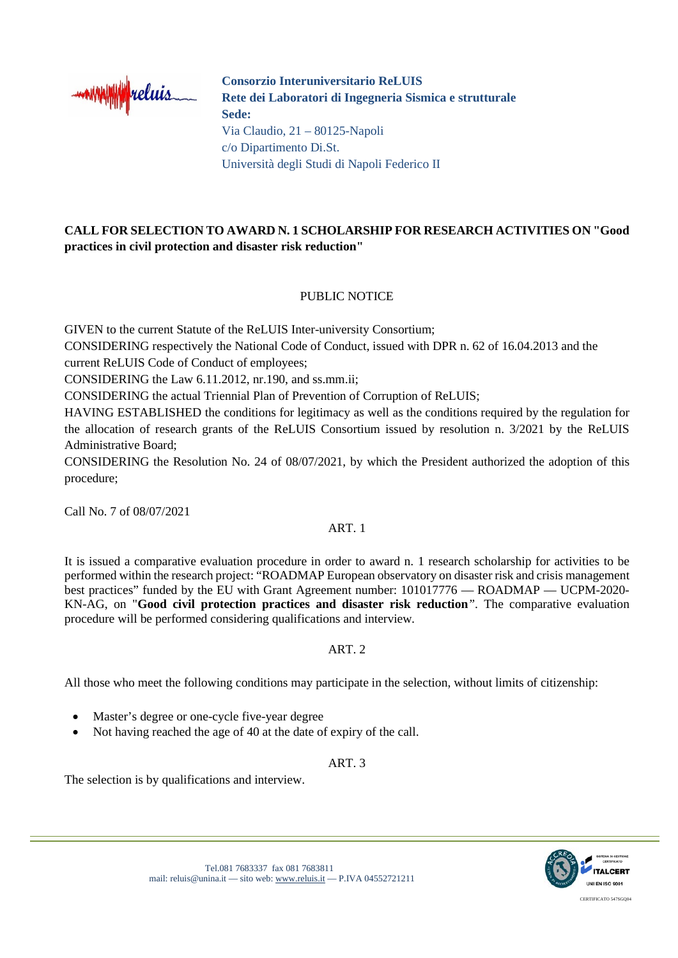

**Consorzio Interuniversitario ReLUIS Rete dei Laboratori di Ingegneria Sismica e strutturale Sede:**  Via Claudio, 21 – 80125-Napoli c/o Dipartimento Di.St. Università degli Studi di Napoli Federico II

# **CALL FOR SELECTION TO AWARD N. 1 SCHOLARSHIP FOR RESEARCH ACTIVITIES ON "Good practices in civil protection and disaster risk reduction"**

## PUBLIC NOTICE

GIVEN to the current Statute of the ReLUIS Inter-university Consortium;

CONSIDERING respectively the National Code of Conduct, issued with DPR n. 62 of 16.04.2013 and the current ReLUIS Code of Conduct of employees;

CONSIDERING the Law 6.11.2012, nr.190, and ss.mm.ii;

CONSIDERING the actual Triennial Plan of Prevention of Corruption of ReLUIS;

HAVING ESTABLISHED the conditions for legitimacy as well as the conditions required by the regulation for the allocation of research grants of the ReLUIS Consortium issued by resolution n. 3/2021 by the ReLUIS Administrative Board;

CONSIDERING the Resolution No. 24 of 08/07/2021, by which the President authorized the adoption of this procedure;

Call No. 7 of 08/07/2021

#### ART. 1

It is issued a comparative evaluation procedure in order to award n. 1 research scholarship for activities to be performed within the research project: "ROADMAP European observatory on disaster risk and crisis management best practices" funded by the EU with Grant Agreement number: 101017776 — ROADMAP — UCPM-2020- KN-AG, on "**Good civil protection practices and disaster risk reduction***"*. The comparative evaluation procedure will be performed considering qualifications and interview*.*

#### ART. 2

All those who meet the following conditions may participate in the selection, without limits of citizenship:

- Master's degree or one-cycle five-year degree
- Not having reached the age of 40 at the date of expiry of the call.

#### ART. 3

The selection is by qualifications and interview.

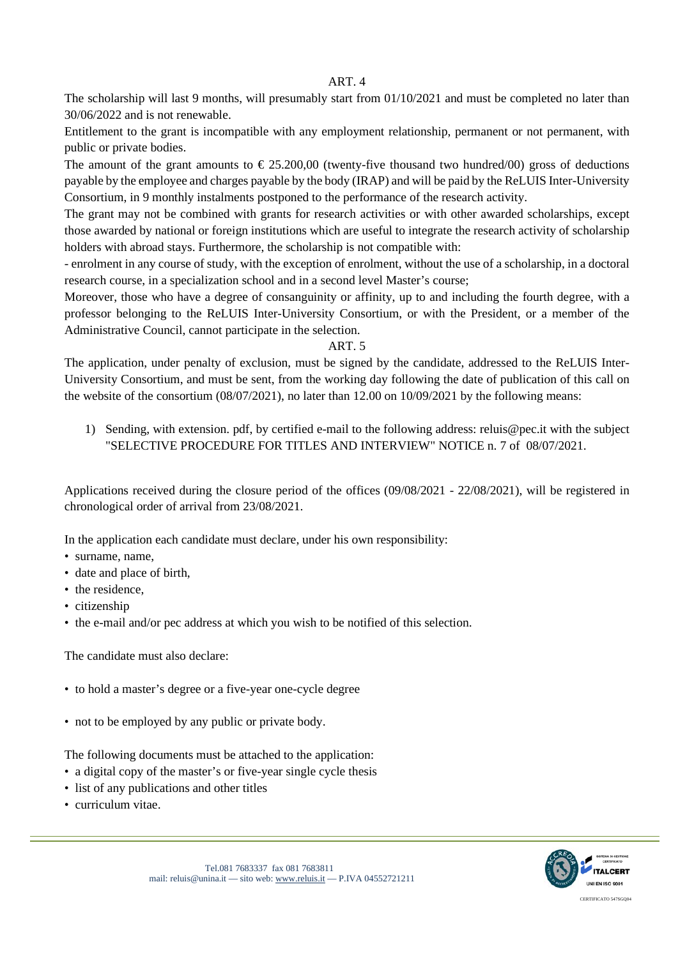#### ART. 4

The scholarship will last 9 months, will presumably start from 01/10/2021 and must be completed no later than 30/06/2022 and is not renewable.

Entitlement to the grant is incompatible with any employment relationship, permanent or not permanent, with public or private bodies.

The amount of the grant amounts to  $\epsilon$ 25.200,00 (twenty-five thousand two hundred/00) gross of deductions payable by the employee and charges payable by the body (IRAP) and will be paid by the ReLUIS Inter-University Consortium, in 9 monthly instalments postponed to the performance of the research activity.

The grant may not be combined with grants for research activities or with other awarded scholarships, except those awarded by national or foreign institutions which are useful to integrate the research activity of scholarship holders with abroad stays. Furthermore, the scholarship is not compatible with:

- enrolment in any course of study, with the exception of enrolment, without the use of a scholarship, in a doctoral research course, in a specialization school and in a second level Master's course;

Moreover, those who have a degree of consanguinity or affinity, up to and including the fourth degree, with a professor belonging to the ReLUIS Inter-University Consortium, or with the President, or a member of the Administrative Council, cannot participate in the selection.

#### ART. 5

The application, under penalty of exclusion, must be signed by the candidate, addressed to the ReLUIS Inter-University Consortium, and must be sent, from the working day following the date of publication of this call on the website of the consortium (08/07/2021), no later than 12.00 on 10/09/2021 by the following means:

1) Sending, with extension. pdf, by certified e-mail to the following address: reluis@pec.it with the subject "SELECTIVE PROCEDURE FOR TITLES AND INTERVIEW" NOTICE n. 7 of 08/07/2021.

Applications received during the closure period of the offices (09/08/2021 - 22/08/2021), will be registered in chronological order of arrival from 23/08/2021.

In the application each candidate must declare, under his own responsibility:

- surname, name,
- date and place of birth,
- the residence,
- citizenship
- the e-mail and/or pec address at which you wish to be notified of this selection.

The candidate must also declare:

- to hold a master's degree or a five-year one-cycle degree
- not to be employed by any public or private body.

The following documents must be attached to the application:

- a digital copy of the master's or five-year single cycle thesis
- list of any publications and other titles
- curriculum vitae.

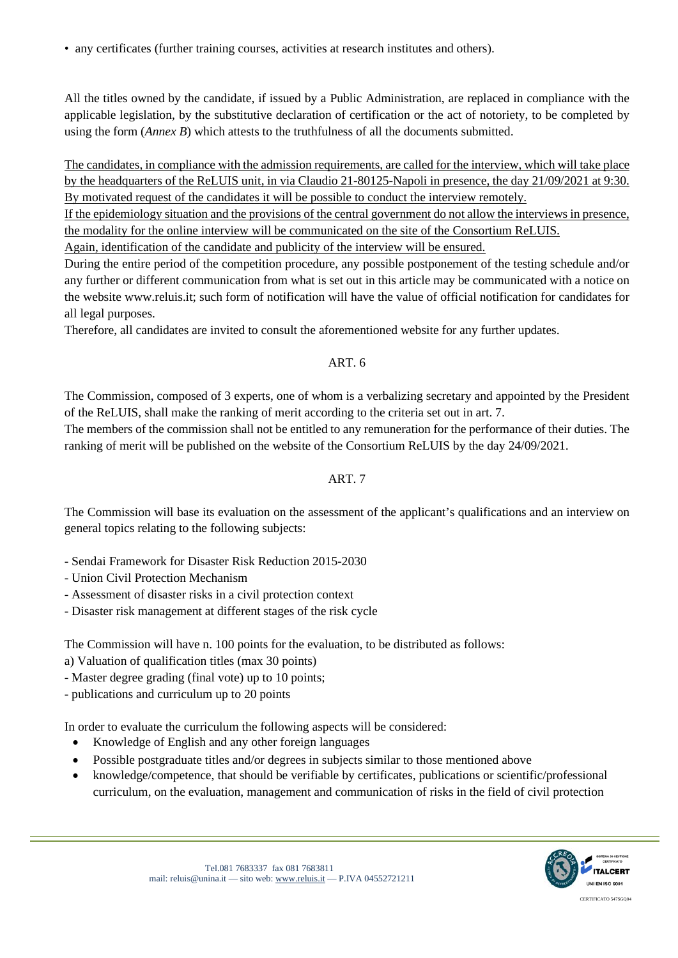• any certificates (further training courses, activities at research institutes and others).

All the titles owned by the candidate, if issued by a Public Administration, are replaced in compliance with the applicable legislation, by the substitutive declaration of certification or the act of notoriety, to be completed by using the form (*Annex B*) which attests to the truthfulness of all the documents submitted.

The candidates, in compliance with the admission requirements, are called for the interview, which will take place by the headquarters of the ReLUIS unit, in via Claudio 21-80125-Napoli in presence, the day 21/09/2021 at 9:30. By motivated request of the candidates it will be possible to conduct the interview remotely.

If the epidemiology situation and the provisions of the central government do not allow the interviews in presence, the modality for the online interview will be communicated on the site of the Consortium ReLUIS.

Again, identification of the candidate and publicity of the interview will be ensured.

During the entire period of the competition procedure, any possible postponement of the testing schedule and/or any further or different communication from what is set out in this article may be communicated with a notice on the website www.reluis.it; such form of notification will have the value of official notification for candidates for all legal purposes.

Therefore, all candidates are invited to consult the aforementioned website for any further updates.

## ART. 6

The Commission, composed of 3 experts, one of whom is a verbalizing secretary and appointed by the President of the ReLUIS, shall make the ranking of merit according to the criteria set out in art. 7.

The members of the commission shall not be entitled to any remuneration for the performance of their duties. The ranking of merit will be published on the website of the Consortium ReLUIS by the day 24/09/2021.

### ART. 7

The Commission will base its evaluation on the assessment of the applicant's qualifications and an interview on general topics relating to the following subjects:

- Sendai Framework for Disaster Risk Reduction 2015-2030
- Union Civil Protection Mechanism
- Assessment of disaster risks in a civil protection context
- Disaster risk management at different stages of the risk cycle

The Commission will have n. 100 points for the evaluation, to be distributed as follows:

a) Valuation of qualification titles (max 30 points)

- Master degree grading (final vote) up to 10 points;

- publications and curriculum up to 20 points

In order to evaluate the curriculum the following aspects will be considered:

- Knowledge of English and any other foreign languages
- Possible postgraduate titles and/or degrees in subjects similar to those mentioned above
- knowledge/competence, that should be verifiable by certificates, publications or scientific/professional curriculum, on the evaluation, management and communication of risks in the field of civil protection



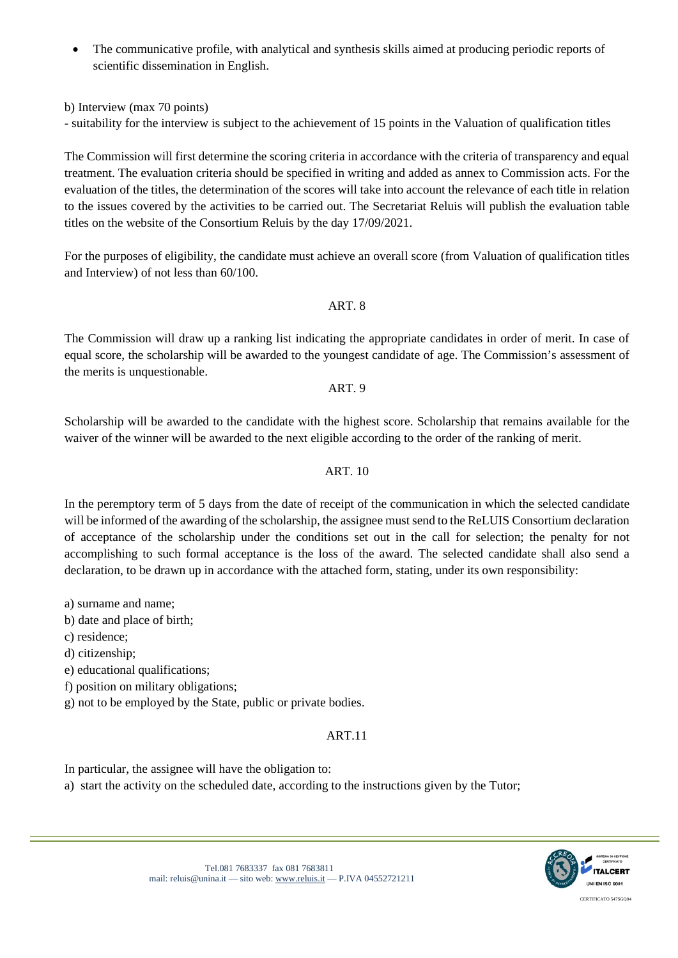• The communicative profile, with analytical and synthesis skills aimed at producing periodic reports of scientific dissemination in English.

b) Interview (max 70 points)

- suitability for the interview is subject to the achievement of 15 points in the Valuation of qualification titles

The Commission will first determine the scoring criteria in accordance with the criteria of transparency and equal treatment. The evaluation criteria should be specified in writing and added as annex to Commission acts. For the evaluation of the titles, the determination of the scores will take into account the relevance of each title in relation to the issues covered by the activities to be carried out. The Secretariat Reluis will publish the evaluation table titles on the website of the Consortium Reluis by the day 17/09/2021.

For the purposes of eligibility, the candidate must achieve an overall score (from Valuation of qualification titles and Interview) of not less than 60/100.

## ART. 8

The Commission will draw up a ranking list indicating the appropriate candidates in order of merit. In case of equal score, the scholarship will be awarded to the youngest candidate of age. The Commission's assessment of the merits is unquestionable.

ART. 9

Scholarship will be awarded to the candidate with the highest score. Scholarship that remains available for the waiver of the winner will be awarded to the next eligible according to the order of the ranking of merit.

## ART. 10

In the peremptory term of 5 days from the date of receipt of the communication in which the selected candidate will be informed of the awarding of the scholarship, the assignee must send to the ReLUIS Consortium declaration of acceptance of the scholarship under the conditions set out in the call for selection; the penalty for not accomplishing to such formal acceptance is the loss of the award. The selected candidate shall also send a declaration, to be drawn up in accordance with the attached form, stating, under its own responsibility:

a) surname and name;

b) date and place of birth;

- c) residence;
- d) citizenship;

e) educational qualifications;

f) position on military obligations;

g) not to be employed by the State, public or private bodies.

# ART.11

In particular, the assignee will have the obligation to:

a) start the activity on the scheduled date, according to the instructions given by the Tutor;

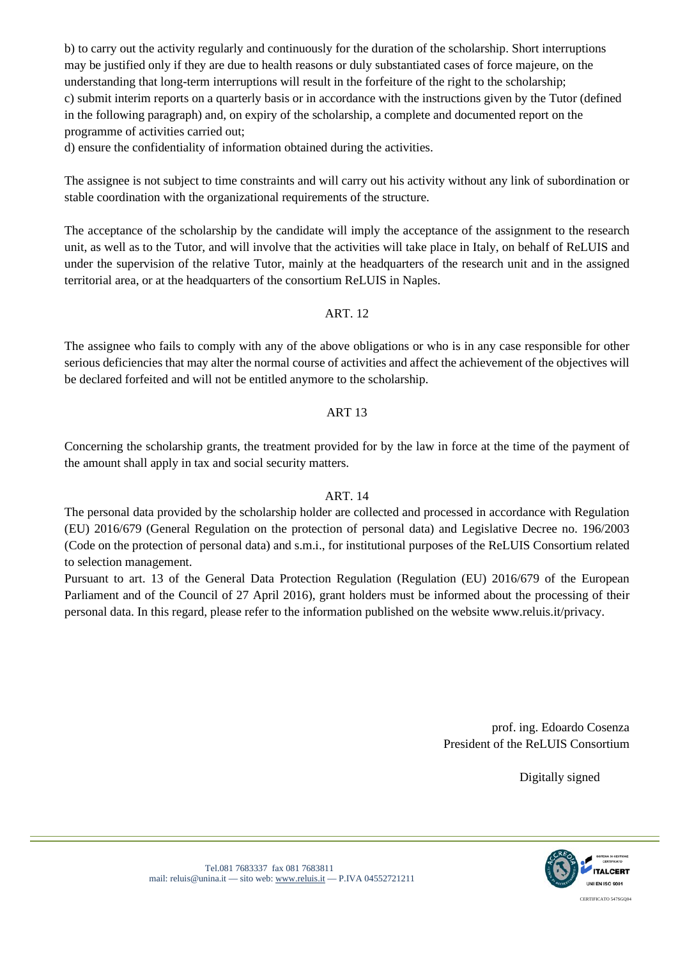b) to carry out the activity regularly and continuously for the duration of the scholarship. Short interruptions may be justified only if they are due to health reasons or duly substantiated cases of force majeure, on the understanding that long-term interruptions will result in the forfeiture of the right to the scholarship; c) submit interim reports on a quarterly basis or in accordance with the instructions given by the Tutor (defined in the following paragraph) and, on expiry of the scholarship, a complete and documented report on the programme of activities carried out;

d) ensure the confidentiality of information obtained during the activities.

The assignee is not subject to time constraints and will carry out his activity without any link of subordination or stable coordination with the organizational requirements of the structure.

The acceptance of the scholarship by the candidate will imply the acceptance of the assignment to the research unit, as well as to the Tutor, and will involve that the activities will take place in Italy, on behalf of ReLUIS and under the supervision of the relative Tutor, mainly at the headquarters of the research unit and in the assigned territorial area, or at the headquarters of the consortium ReLUIS in Naples.

## ART. 12

The assignee who fails to comply with any of the above obligations or who is in any case responsible for other serious deficiencies that may alter the normal course of activities and affect the achievement of the objectives will be declared forfeited and will not be entitled anymore to the scholarship.

## ART 13

Concerning the scholarship grants, the treatment provided for by the law in force at the time of the payment of the amount shall apply in tax and social security matters.

#### ART. 14

The personal data provided by the scholarship holder are collected and processed in accordance with Regulation (EU) 2016/679 (General Regulation on the protection of personal data) and Legislative Decree no. 196/2003 (Code on the protection of personal data) and s.m.i., for institutional purposes of the ReLUIS Consortium related to selection management.

Pursuant to art. 13 of the General Data Protection Regulation (Regulation (EU) 2016/679 of the European Parliament and of the Council of 27 April 2016), grant holders must be informed about the processing of their personal data. In this regard, please refer to the information published on the website www.reluis.it/privacy.

> prof. ing. Edoardo Cosenza President of the ReLUIS Consortium

> > Digitally signed

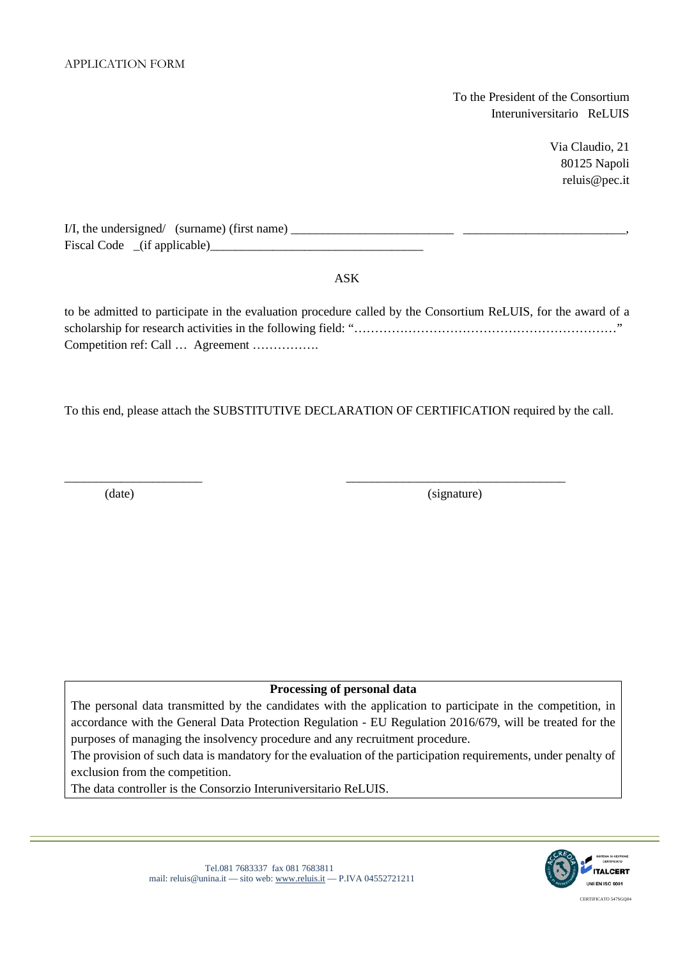To the President of the Consortium Interuniversitario ReLUIS

> Via Claudio, 21 80125 Napoli reluis@pec.it

| I/I, the undersigned/ (surname) (first name) |  |
|----------------------------------------------|--|
| Fiscal Code (if applicable)                  |  |

ASK

to be admitted to participate in the evaluation procedure called by the Consortium ReLUIS, for the award of a scholarship for research activities in the following field: "………………………………………………………" Competition ref: Call … Agreement …………….

To this end, please attach the SUBSTITUTIVE DECLARATION OF CERTIFICATION required by the call.

\_\_\_\_\_\_\_\_\_\_\_\_\_\_\_\_\_\_\_\_\_\_ \_\_\_\_\_\_\_\_\_\_\_\_\_\_\_\_\_\_\_\_\_\_\_\_\_\_\_\_\_\_\_\_\_\_\_

(date) (signature)

#### **Processing of personal data**

The personal data transmitted by the candidates with the application to participate in the competition, in accordance with the General Data Protection Regulation - EU Regulation 2016/679, will be treated for the purposes of managing the insolvency procedure and any recruitment procedure.

The provision of such data is mandatory for the evaluation of the participation requirements, under penalty of exclusion from the competition.

The data controller is the Consorzio Interuniversitario ReLUIS.